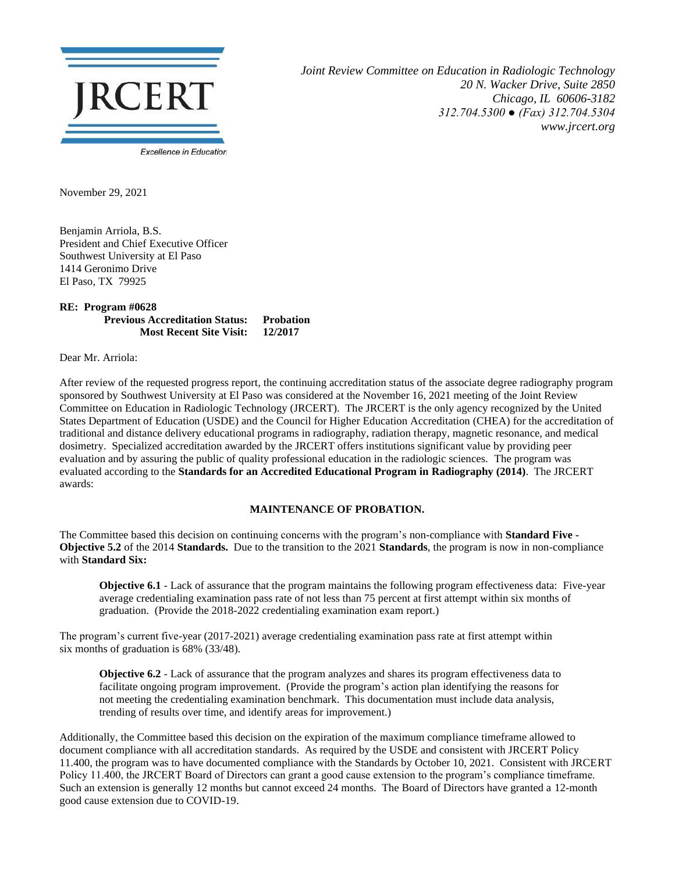

*Joint Review Committee on Education in Radiologic Technology 20 N. Wacker Drive, Suite 2850 Chicago, IL 60606-3182 312.704.5300 ● (Fax) 312.704.5304 www.jrcert.org*

November 29, 2021

Benjamin Arriola, B.S. President and Chief Executive Officer Southwest University at El Paso 1414 Geronimo Drive El Paso, TX 79925

## **RE: Program #0628 Previous Accreditation Status: Probation Most Recent Site Visit: 12/2017**

Dear Mr. Arriola:

After review of the requested progress report, the continuing accreditation status of the associate degree radiography program sponsored by Southwest University at El Paso was considered at the November 16, 2021 meeting of the Joint Review Committee on Education in Radiologic Technology (JRCERT). The JRCERT is the only agency recognized by the United States Department of Education (USDE) and the Council for Higher Education Accreditation (CHEA) for the accreditation of traditional and distance delivery educational programs in radiography, radiation therapy, magnetic resonance, and medical dosimetry. Specialized accreditation awarded by the JRCERT offers institutions significant value by providing peer evaluation and by assuring the public of quality professional education in the radiologic sciences. The program was evaluated according to the **Standards for an Accredited Educational Program in Radiography (2014)**. The JRCERT awards:

## **MAINTENANCE OF PROBATION.**

The Committee based this decision on continuing concerns with the program's non-compliance with **Standard Five - Objective 5.2** of the 2014 **Standards.** Due to the transition to the 2021 **Standards**, the program is now in non-compliance with **Standard Six:**

**Objective 6.1** - Lack of assurance that the program maintains the following program effectiveness data: Five-year average credentialing examination pass rate of not less than 75 percent at first attempt within six months of graduation. (Provide the 2018-2022 credentialing examination exam report.)

The program's current five-year (2017-2021) average credentialing examination pass rate at first attempt within six months of graduation is 68% (33/48).

**Objective 6.2** - Lack of assurance that the program analyzes and shares its program effectiveness data to facilitate ongoing program improvement. (Provide the program's action plan identifying the reasons for not meeting the credentialing examination benchmark. This documentation must include data analysis, trending of results over time, and identify areas for improvement.)

Additionally, the Committee based this decision on the expiration of the maximum compliance timeframe allowed to document compliance with all accreditation standards. As required by the USDE and consistent with JRCERT Policy 11.400, the program was to have documented compliance with the Standards by October 10, 2021. Consistent with JRCERT Policy 11.400, the JRCERT Board of Directors can grant a good cause extension to the program's compliance timeframe. Such an extension is generally 12 months but cannot exceed 24 months. The Board of Directors have granted a 12-month good cause extension due to COVID-19.